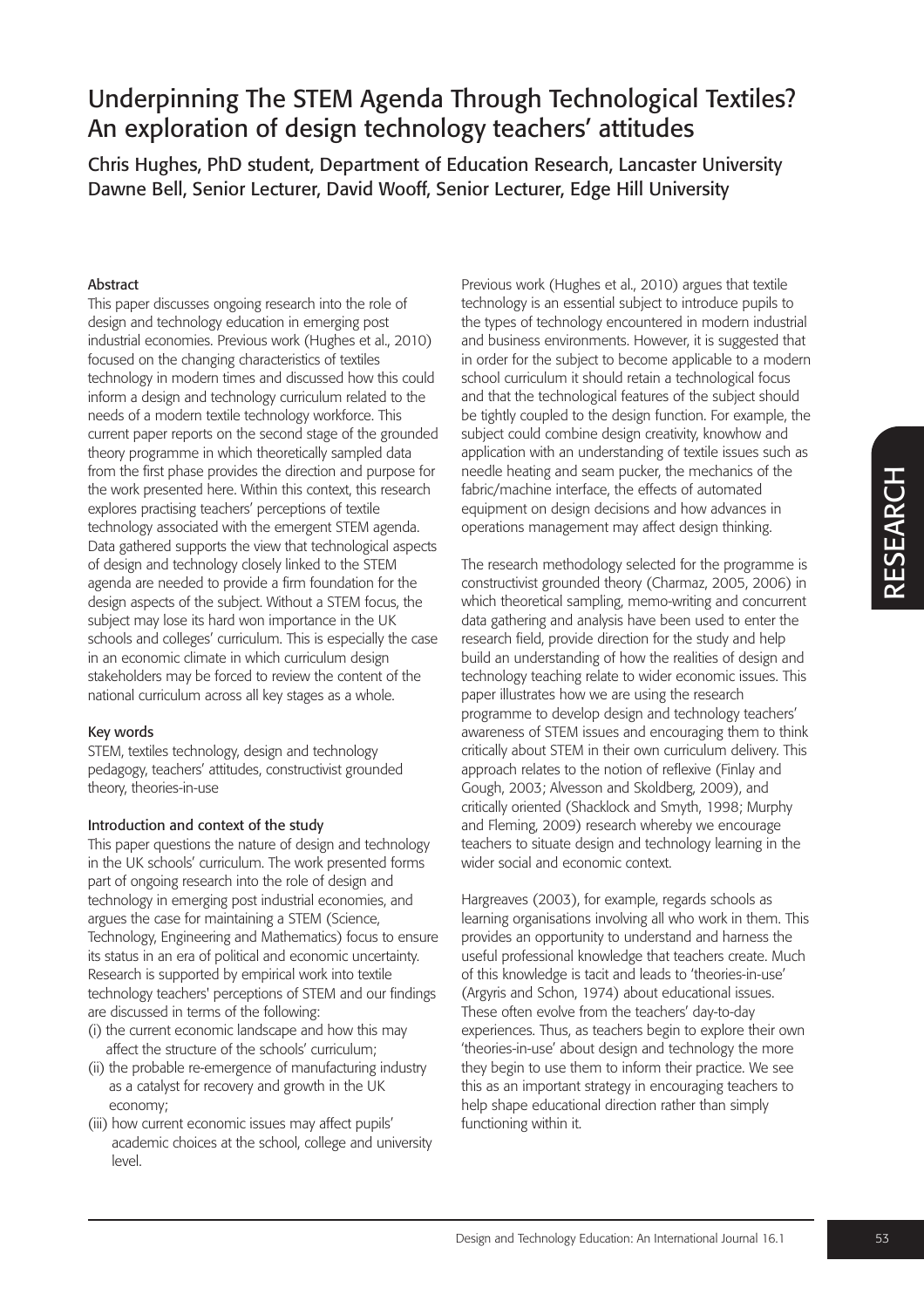Chris Hughes, PhD student, Department of Education Research, Lancaster University Dawne Bell, Senior Lecturer, David Wooff, Senior Lecturer, Edge Hill University

### Abstract

This paper discusses ongoing research into the role of design and technology education in emerging post industrial economies. Previous work (Hughes et al., 2010) focused on the changing characteristics of textiles technology in modern times and discussed how this could inform a design and technology curriculum related to the needs of a modern textile technology workforce. This current paper reports on the second stage of the grounded theory programme in which theoretically sampled data from the first phase provides the direction and purpose for the work presented here. Within this context, this research explores practising teachers' perceptions of textile technology associated with the emergent STEM agenda. Data gathered supports the view that technological aspects of design and technology closely linked to the STEM agenda are needed to provide a firm foundation for the design aspects of the subject. Without a STEM focus, the subject may lose its hard won importance in the UK schools and colleges' curriculum. This is especially the case in an economic climate in which curriculum design stakeholders may be forced to review the content of the national curriculum across all key stages as a whole.

### Key words

STEM, textiles technology, design and technology pedagogy, teachers' attitudes, constructivist grounded theory, theories-in-use

### Introduction and context of the study

This paper questions the nature of design and technology in the UK schools' curriculum. The work presented forms part of ongoing research into the role of design and technology in emerging post industrial economies, and argues the case for maintaining a STEM (Science, Technology, Engineering and Mathematics) focus to ensure its status in an era of political and economic uncertainty. Research is supported by empirical work into textile technology teachers' perceptions of STEM and our findings are discussed in terms of the following:

- (i) the current economic landscape and how this may affect the structure of the schools' curriculum;
- (ii) the probable re-emergence of manufacturing industry as a catalyst for recovery and growth in the UK economy;
- (iii) how current economic issues may affect pupils' academic choices at the school, college and university level.

Previous work (Hughes et al., 2010) argues that textile technology is an essential subject to introduce pupils to the types of technology encountered in modern industrial and business environments. However, it is suggested that in order for the subject to become applicable to a modern school curriculum it should retain a technological focus and that the technological features of the subject should be tightly coupled to the design function. For example, the subject could combine design creativity, knowhow and application with an understanding of textile issues such as needle heating and seam pucker, the mechanics of the fabric/machine interface, the effects of automated equipment on design decisions and how advances in operations management may affect design thinking.

The research methodology selected for the programme is constructivist grounded theory (Charmaz, 2005, 2006) in which theoretical sampling, memo-writing and concurrent data gathering and analysis have been used to enter the research field, provide direction for the study and help build an understanding of how the realities of design and technology teaching relate to wider economic issues. This paper illustrates how we are using the research programme to develop design and technology teachers' awareness of STEM issues and encouraging them to think critically about STEM in their own curriculum delivery. This approach relates to the notion of reflexive (Finlay and Gough, 2003; Alvesson and Skoldberg, 2009), and critically oriented (Shacklock and Smyth, 1998; Murphy and Fleming, 2009) research whereby we encourage teachers to situate design and technology learning in the wider social and economic context.

Hargreaves (2003), for example, regards schools as learning organisations involving all who work in them. This provides an opportunity to understand and harness the useful professional knowledge that teachers create. Much of this knowledge is tacit and leads to 'theories-in-use' (Argyris and Schon, 1974) about educational issues. These often evolve from the teachers' day-to-day experiences. Thus, as teachers begin to explore their own 'theories-in-use' about design and technology the more they begin to use them to inform their practice. We see this as an important strategy in encouraging teachers to help shape educational direction rather than simply functioning within it.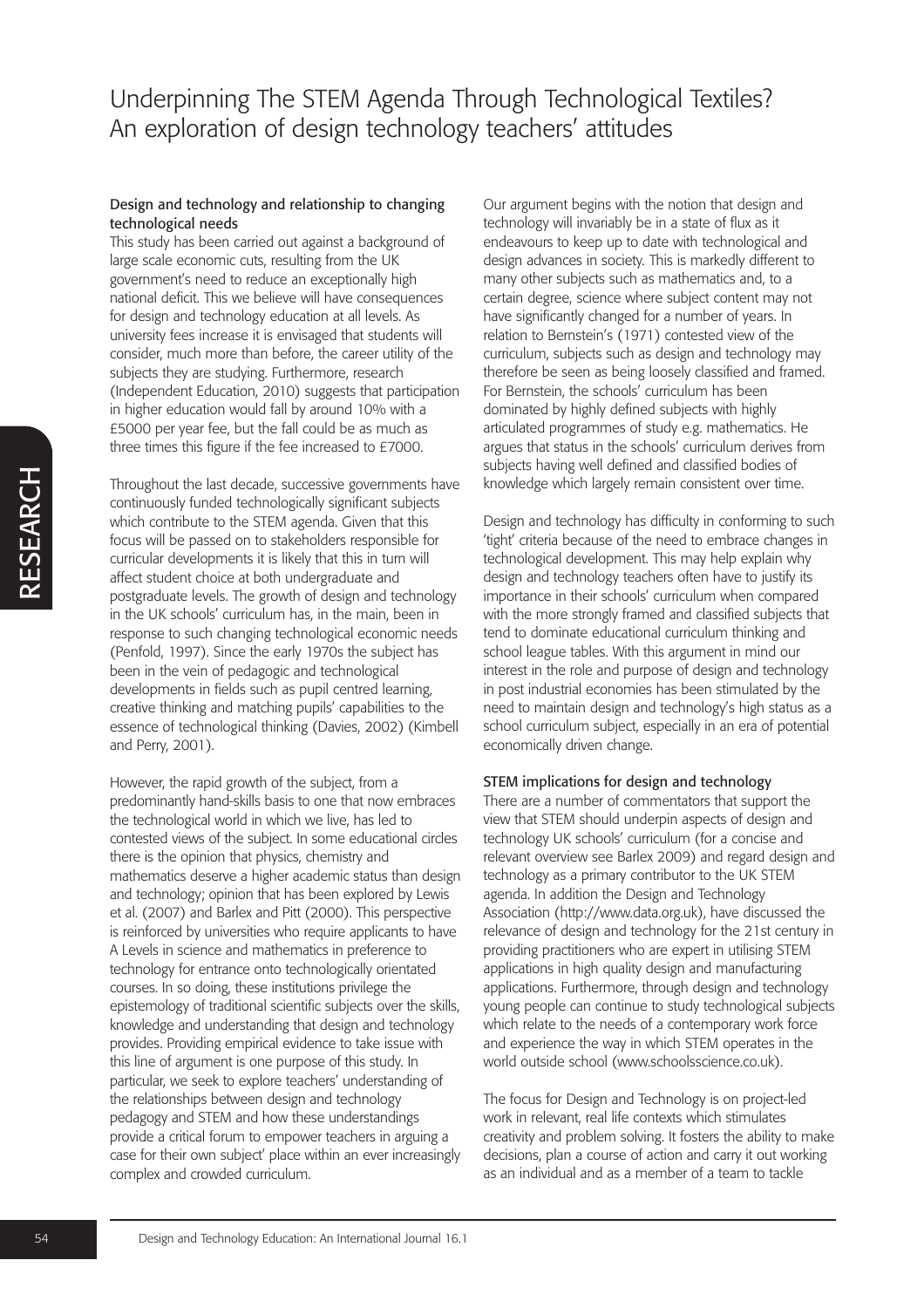### Design and technology and relationship to changing technological needs

This study has been carried out against a background of large scale economic cuts, resulting from the UK government's need to reduce an exceptionally high national deficit. This we believe will have consequences for design and technology education at all levels. As university fees increase it is envisaged that students will consider, much more than before, the career utility of the subjects they are studying. Furthermore, research (Independent Education, 2010) suggests that participation in higher education would fall by around 10% with a £5000 per year fee, but the fall could be as much as three times this figure if the fee increased to £7000.

Throughout the last decade, successive governments have continuously funded technologically significant subjects which contribute to the STEM agenda. Given that this focus will be passed on to stakeholders responsible for curricular developments it is likely that this in turn will affect student choice at both undergraduate and postgraduate levels. The growth of design and technology in the UK schools' curriculum has, in the main, been in response to such changing technological economic needs (Penfold, 1997). Since the early 1970s the subject has been in the vein of pedagogic and technological developments in fields such as pupil centred learning, creative thinking and matching pupils' capabilities to the essence of technological thinking (Davies, 2002) (Kimbell and Perry, 2001).

However, the rapid growth of the subject, from a predominantly hand-skills basis to one that now embraces the technological world in which we live, has led to contested views of the subject. In some educational circles there is the opinion that physics, chemistry and mathematics deserve a higher academic status than design and technology; opinion that has been explored by Lewis et al. (2007) and Barlex and Pitt (2000). This perspective is reinforced by universities who require applicants to have A Levels in science and mathematics in preference to technology for entrance onto technologically orientated courses. In so doing, these institutions privilege the epistemology of traditional scientific subjects over the skills, knowledge and understanding that design and technology provides. Providing empirical evidence to take issue with this line of argument is one purpose of this study. In particular, we seek to explore teachers' understanding of the relationships between design and technology pedagogy and STEM and how these understandings provide a critical forum to empower teachers in arguing a case for their own subject' place within an ever increasingly complex and crowded curriculum.

Our argument begins with the notion that design and technology will invariably be in a state of flux as it endeavours to keep up to date with technological and design advances in society. This is markedly different to many other subjects such as mathematics and, to a certain degree, science where subject content may not have significantly changed for a number of years. In relation to Bernstein's (1971) contested view of the curriculum, subjects such as design and technology may therefore be seen as being loosely classified and framed. For Bernstein, the schools' curriculum has been dominated by highly defined subjects with highly articulated programmes of study e.g. mathematics. He argues that status in the schools' curriculum derives from subjects having well defined and classified bodies of knowledge which largely remain consistent over time.

Design and technology has difficulty in conforming to such 'tight' criteria because of the need to embrace changes in technological development. This may help explain why design and technology teachers often have to justify its importance in their schools' curriculum when compared with the more strongly framed and classified subjects that tend to dominate educational curriculum thinking and school league tables. With this argument in mind our interest in the role and purpose of design and technology in post industrial economies has been stimulated by the need to maintain design and technology's high status as a school curriculum subject, especially in an era of potential economically driven change.

### STEM implications for design and technology

There are a number of commentators that support the view that STEM should underpin aspects of design and technology UK schools' curriculum (for a concise and relevant overview see Barlex 2009) and regard design and technology as a primary contributor to the UK STEM agenda. In addition the Design and Technology Association (http://www.data.org.uk), have discussed the relevance of design and technology for the 21st century in providing practitioners who are expert in utilising STEM applications in high quality design and manufacturing applications. Furthermore, through design and technology young people can continue to study technological subjects which relate to the needs of a contemporary work force and experience the way in which STEM operates in the world outside school (www.schoolsscience.co.uk).

The focus for Design and Technology is on project-led work in relevant, real life contexts which stimulates creativity and problem solving. It fosters the ability to make decisions, plan a course of action and carry it out working as an individual and as a member of a team to tackle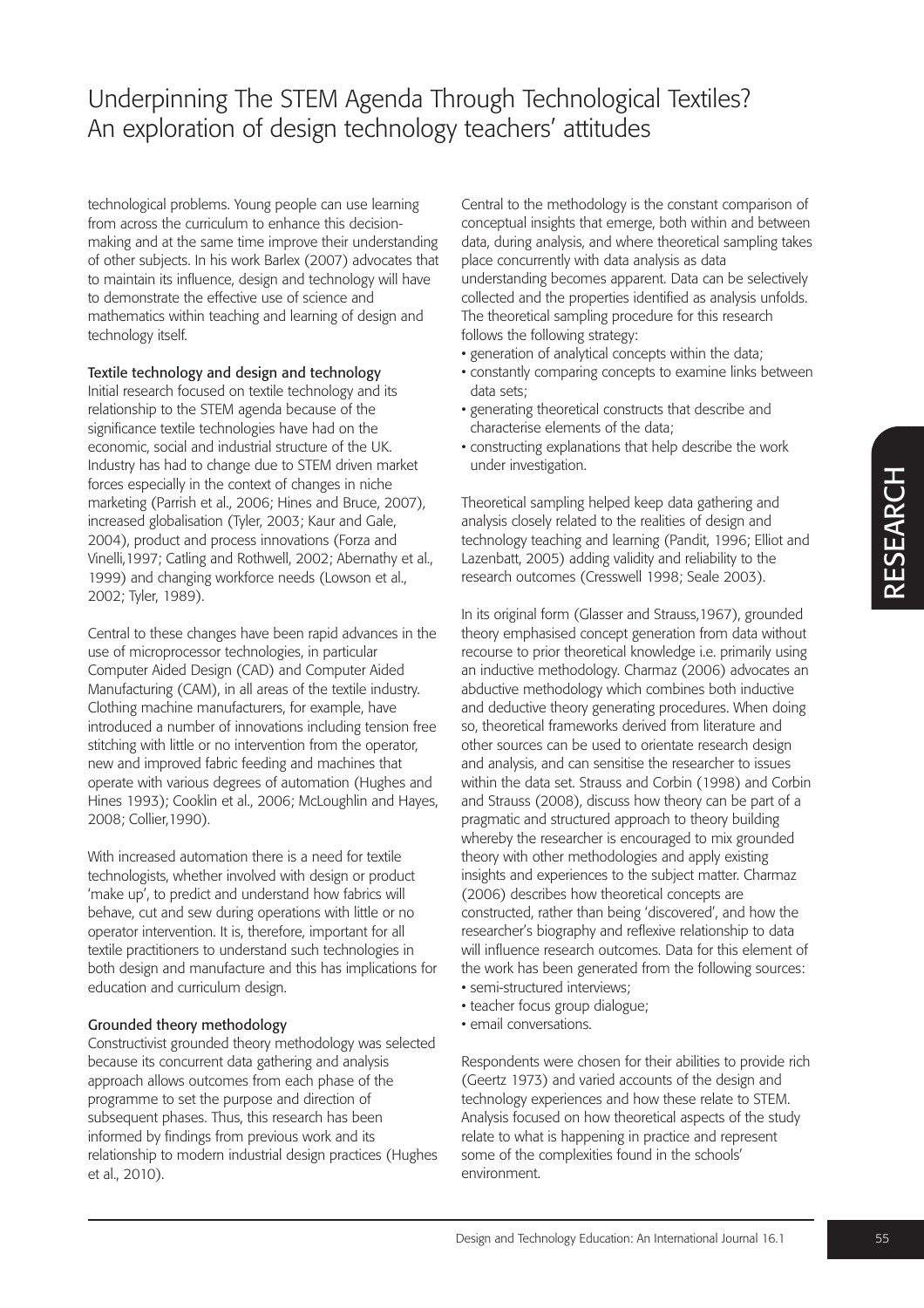technological problems. Young people can use learning from across the curriculum to enhance this decisionmaking and at the same time improve their understanding of other subjects. In his work Barlex (2007) advocates that to maintain its influence, design and technology will have to demonstrate the effective use of science and mathematics within teaching and learning of design and technology itself.

## Textile technology and design and technology

Initial research focused on textile technology and its relationship to the STEM agenda because of the significance textile technologies have had on the economic, social and industrial structure of the UK. Industry has had to change due to STEM driven market forces especially in the context of changes in niche marketing (Parrish et al., 2006; Hines and Bruce, 2007), increased globalisation (Tyler, 2003; Kaur and Gale, 2004), product and process innovations (Forza and Vinelli,1997; Catling and Rothwell, 2002; Abernathy et al., 1999) and changing workforce needs (Lowson et al., 2002; Tyler, 1989).

Central to these changes have been rapid advances in the use of microprocessor technologies, in particular Computer Aided Design (CAD) and Computer Aided Manufacturing (CAM), in all areas of the textile industry. Clothing machine manufacturers, for example, have introduced a number of innovations including tension free stitching with little or no intervention from the operator, new and improved fabric feeding and machines that operate with various degrees of automation (Hughes and Hines 1993); Cooklin et al., 2006; McLoughlin and Hayes, 2008; Collier,1990).

With increased automation there is a need for textile technologists, whether involved with design or product 'make up', to predict and understand how fabrics will behave, cut and sew during operations with little or no operator intervention. It is, therefore, important for all textile practitioners to understand such technologies in both design and manufacture and this has implications for education and curriculum design.

## Grounded theory methodology

Constructivist grounded theory methodology was selected because its concurrent data gathering and analysis approach allows outcomes from each phase of the programme to set the purpose and direction of subsequent phases. Thus, this research has been informed by findings from previous work and its relationship to modern industrial design practices (Hughes et al., 2010).

Central to the methodology is the constant comparison of conceptual insights that emerge, both within and between data, during analysis, and where theoretical sampling takes place concurrently with data analysis as data understanding becomes apparent. Data can be selectively collected and the properties identified as analysis unfolds. The theoretical sampling procedure for this research follows the following strategy:

- generation of analytical concepts within the data;
- constantly comparing concepts to examine links between data sets;
- generating theoretical constructs that describe and characterise elements of the data;
- constructing explanations that help describe the work under investigation.

Theoretical sampling helped keep data gathering and analysis closely related to the realities of design and technology teaching and learning (Pandit, 1996; Elliot and Lazenbatt, 2005) adding validity and reliability to the research outcomes (Cresswell 1998; Seale 2003).

In its original form (Glasser and Strauss,1967), grounded theory emphasised concept generation from data without recourse to prior theoretical knowledge i.e. primarily using an inductive methodology. Charmaz (2006) advocates an abductive methodology which combines both inductive and deductive theory generating procedures. When doing so, theoretical frameworks derived from literature and other sources can be used to orientate research design and analysis, and can sensitise the researcher to issues within the data set. Strauss and Corbin (1998) and Corbin and Strauss (2008), discuss how theory can be part of a pragmatic and structured approach to theory building whereby the researcher is encouraged to mix grounded theory with other methodologies and apply existing insights and experiences to the subject matter. Charmaz (2006) describes how theoretical concepts are constructed, rather than being 'discovered', and how the researcher's biography and reflexive relationship to data will influence research outcomes. Data for this element of the work has been generated from the following sources: • semi-structured interviews;

- teacher focus group dialogue;
- email conversations.

Respondents were chosen for their abilities to provide rich (Geertz 1973) and varied accounts of the design and technology experiences and how these relate to STEM. Analysis focused on how theoretical aspects of the study relate to what is happening in practice and represent some of the complexities found in the schools' environment.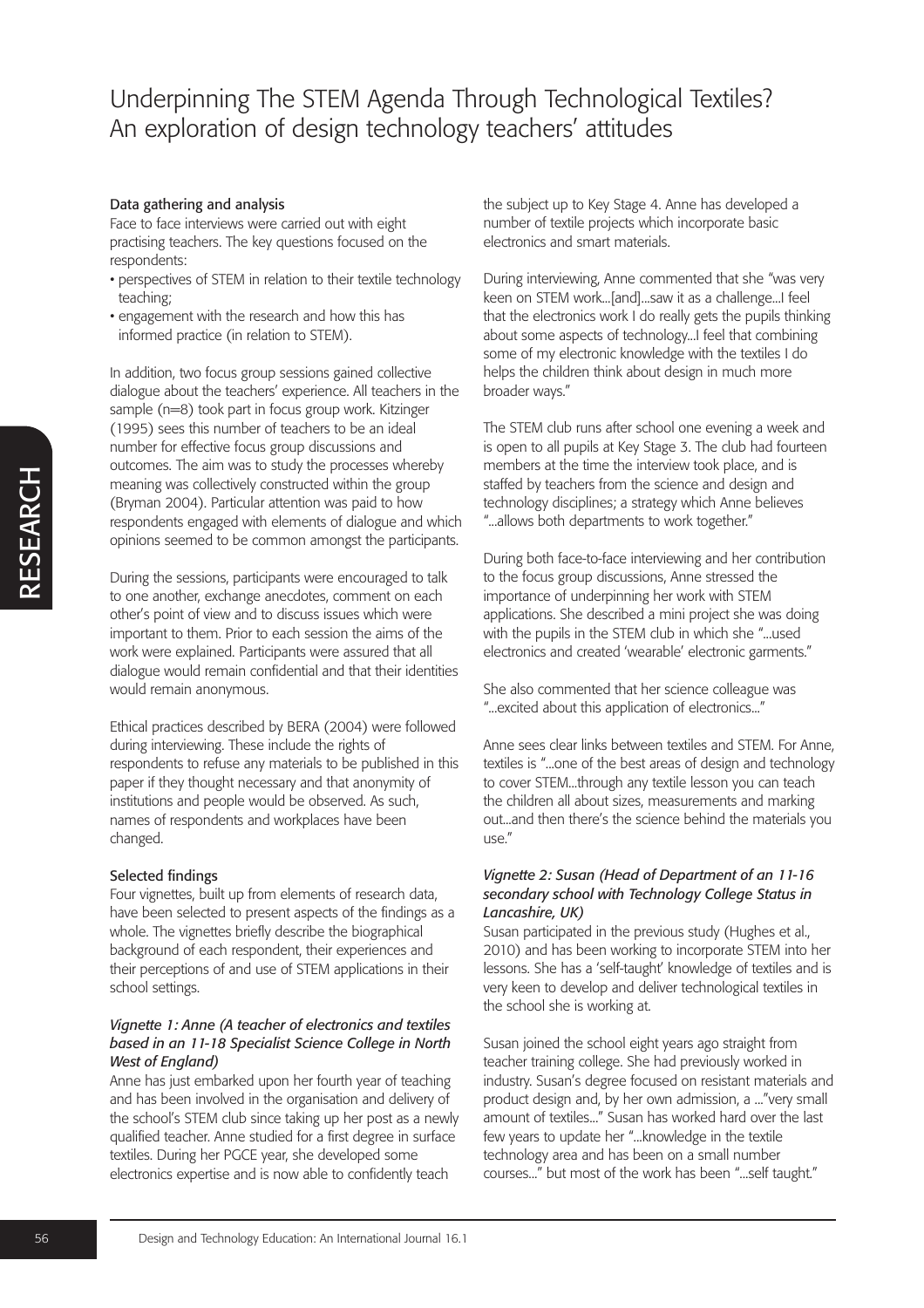#### Data gathering and analysis

Face to face interviews were carried out with eight practising teachers. The key questions focused on the respondents:

- perspectives of STEM in relation to their textile technology teaching;
- engagement with the research and how this has informed practice (in relation to STEM).

In addition, two focus group sessions gained collective dialogue about the teachers' experience. All teachers in the sample (n=8) took part in focus group work. Kitzinger (1995) sees this number of teachers to be an ideal number for effective focus group discussions and outcomes. The aim was to study the processes whereby meaning was collectively constructed within the group (Bryman 2004). Particular attention was paid to how respondents engaged with elements of dialogue and which opinions seemed to be common amongst the participants.

During the sessions, participants were encouraged to talk to one another, exchange anecdotes, comment on each other's point of view and to discuss issues which were important to them. Prior to each session the aims of the work were explained. Participants were assured that all dialogue would remain confidential and that their identities would remain anonymous.

Ethical practices described by BERA (2004) were followed during interviewing. These include the rights of respondents to refuse any materials to be published in this paper if they thought necessary and that anonymity of institutions and people would be observed. As such, names of respondents and workplaces have been changed.

#### Selected findings

Four vignettes, built up from elements of research data, have been selected to present aspects of the findings as a whole. The vignettes briefly describe the biographical background of each respondent, their experiences and their perceptions of and use of STEM applications in their school settings.

#### *Vignette 1: Anne (A teacher of electronics and textiles based in an 11-18 Specialist Science College in North West of England)*

Anne has just embarked upon her fourth year of teaching and has been involved in the organisation and delivery of the school's STEM club since taking up her post as a newly qualified teacher. Anne studied for a first degree in surface textiles. During her PGCE year, she developed some electronics expertise and is now able to confidently teach

the subject up to Key Stage 4. Anne has developed a number of textile projects which incorporate basic electronics and smart materials.

During interviewing, Anne commented that she "was very keen on STEM work...[and]...saw it as a challenge...I feel that the electronics work I do really gets the pupils thinking about some aspects of technology...I feel that combining some of my electronic knowledge with the textiles I do helps the children think about design in much more broader ways."

The STEM club runs after school one evening a week and is open to all pupils at Key Stage 3. The club had fourteen members at the time the interview took place, and is staffed by teachers from the science and design and technology disciplines; a strategy which Anne believes "...allows both departments to work together."

During both face-to-face interviewing and her contribution to the focus group discussions, Anne stressed the importance of underpinning her work with STEM applications. She described a mini project she was doing with the pupils in the STEM club in which she "...used electronics and created 'wearable' electronic garments."

She also commented that her science colleague was "...excited about this application of electronics..."

Anne sees clear links between textiles and STEM. For Anne, textiles is "...one of the best areas of design and technology to cover STEM...through any textile lesson you can teach the children all about sizes, measurements and marking out...and then there's the science behind the materials you use."

### *Vignette 2: Susan (Head of Department of an 11-16 secondary school with Technology College Status in Lancashire, UK)*

Susan participated in the previous study (Hughes et al., 2010) and has been working to incorporate STEM into her lessons. She has a 'self-taught' knowledge of textiles and is very keen to develop and deliver technological textiles in the school she is working at.

Susan joined the school eight years ago straight from teacher training college. She had previously worked in industry. Susan's degree focused on resistant materials and product design and, by her own admission, a ..."very small amount of textiles..." Susan has worked hard over the last few years to update her "...knowledge in the textile technology area and has been on a small number courses..." but most of the work has been "...self taught."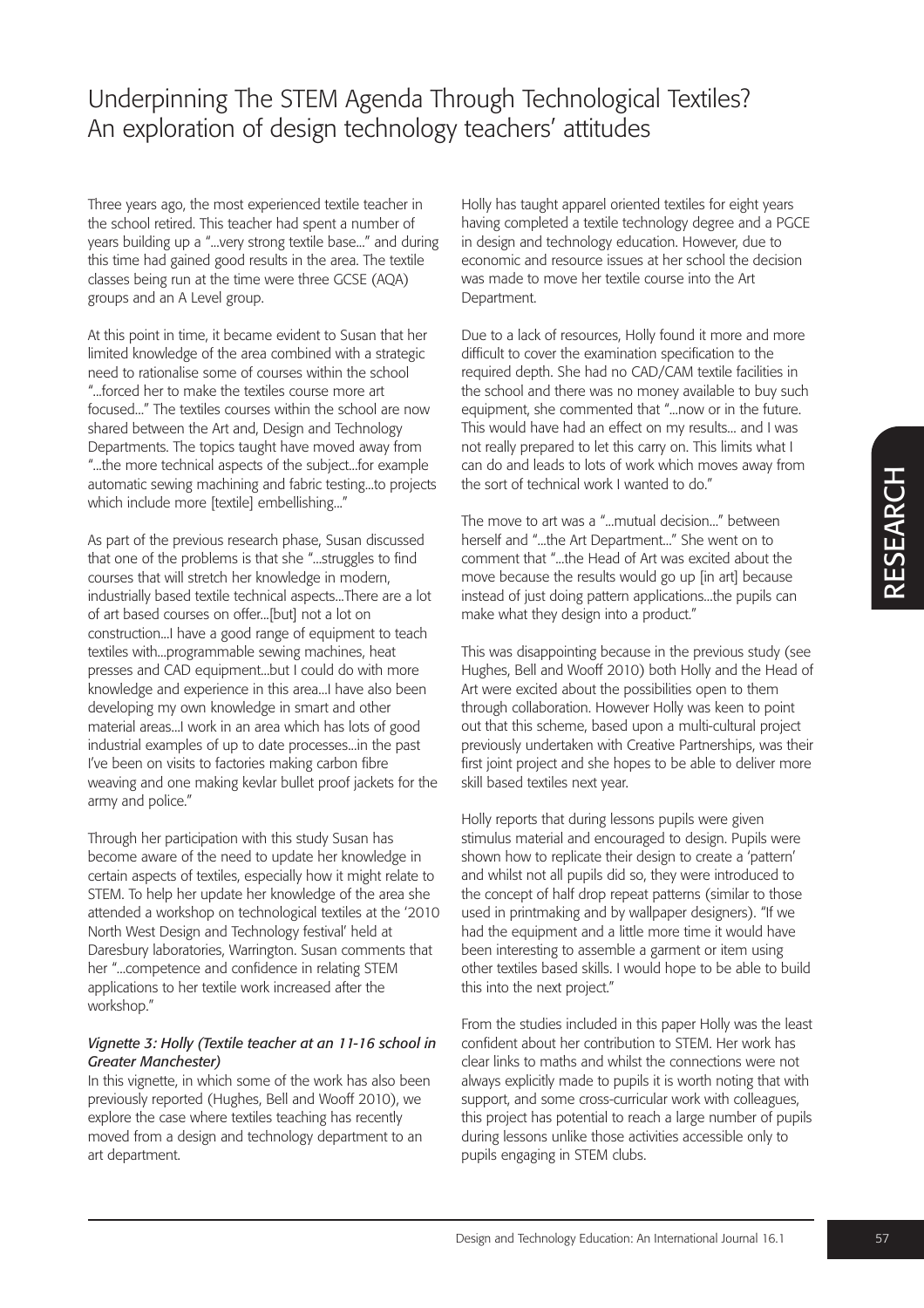Three years ago, the most experienced textile teacher in the school retired. This teacher had spent a number of years building up a "...very strong textile base..." and during this time had gained good results in the area. The textile classes being run at the time were three GCSE (AQA) groups and an A Level group.

At this point in time, it became evident to Susan that her limited knowledge of the area combined with a strategic need to rationalise some of courses within the school "...forced her to make the textiles course more art focused..." The textiles courses within the school are now shared between the Art and, Design and Technology Departments. The topics taught have moved away from "...the more technical aspects of the subject...for example automatic sewing machining and fabric testing...to projects which include more [textile] embellishing..."

As part of the previous research phase, Susan discussed that one of the problems is that she "...struggles to find courses that will stretch her knowledge in modern, industrially based textile technical aspects...There are a lot of art based courses on offer...[but] not a lot on construction...I have a good range of equipment to teach textiles with...programmable sewing machines, heat presses and CAD equipment...but I could do with more knowledge and experience in this area...I have also been developing my own knowledge in smart and other material areas...I work in an area which has lots of good industrial examples of up to date processes...in the past I've been on visits to factories making carbon fibre weaving and one making kevlar bullet proof jackets for the army and police."

Through her participation with this study Susan has become aware of the need to update her knowledge in certain aspects of textiles, especially how it might relate to STEM. To help her update her knowledge of the area she attended a workshop on technological textiles at the '2010 North West Design and Technology festival' held at Daresbury laboratories, Warrington. Susan comments that her "...competence and confidence in relating STEM applications to her textile work increased after the workshop."

### *Vignette 3: Holly (Textile teacher at an 11-16 school in Greater Manchester)*

In this vignette, in which some of the work has also been previously reported (Hughes, Bell and Wooff 2010), we explore the case where textiles teaching has recently moved from a design and technology department to an art department.

Holly has taught apparel oriented textiles for eight years having completed a textile technology degree and a PGCE in design and technology education. However, due to economic and resource issues at her school the decision was made to move her textile course into the Art Department.

Due to a lack of resources, Holly found it more and more difficult to cover the examination specification to the required depth. She had no CAD/CAM textile facilities in the school and there was no money available to buy such equipment, she commented that "...now or in the future. This would have had an effect on my results... and I was not really prepared to let this carry on. This limits what I can do and leads to lots of work which moves away from the sort of technical work I wanted to do."

The move to art was a "...mutual decision..." between herself and "...the Art Department..." She went on to comment that "...the Head of Art was excited about the move because the results would go up [in art] because instead of just doing pattern applications...the pupils can make what they design into a product."

This was disappointing because in the previous study (see Hughes, Bell and Wooff 2010) both Holly and the Head of Art were excited about the possibilities open to them through collaboration. However Holly was keen to point out that this scheme, based upon a multi-cultural project previously undertaken with Creative Partnerships, was their first joint project and she hopes to be able to deliver more skill based textiles next year.

Holly reports that during lessons pupils were given stimulus material and encouraged to design. Pupils were shown how to replicate their design to create a 'pattern' and whilst not all pupils did so, they were introduced to the concept of half drop repeat patterns (similar to those used in printmaking and by wallpaper designers). "If we had the equipment and a little more time it would have been interesting to assemble a garment or item using other textiles based skills. I would hope to be able to build this into the next project."

From the studies included in this paper Holly was the least confident about her contribution to STEM. Her work has clear links to maths and whilst the connections were not always explicitly made to pupils it is worth noting that with support, and some cross-curricular work with colleagues, this project has potential to reach a large number of pupils during lessons unlike those activities accessible only to pupils engaging in STEM clubs.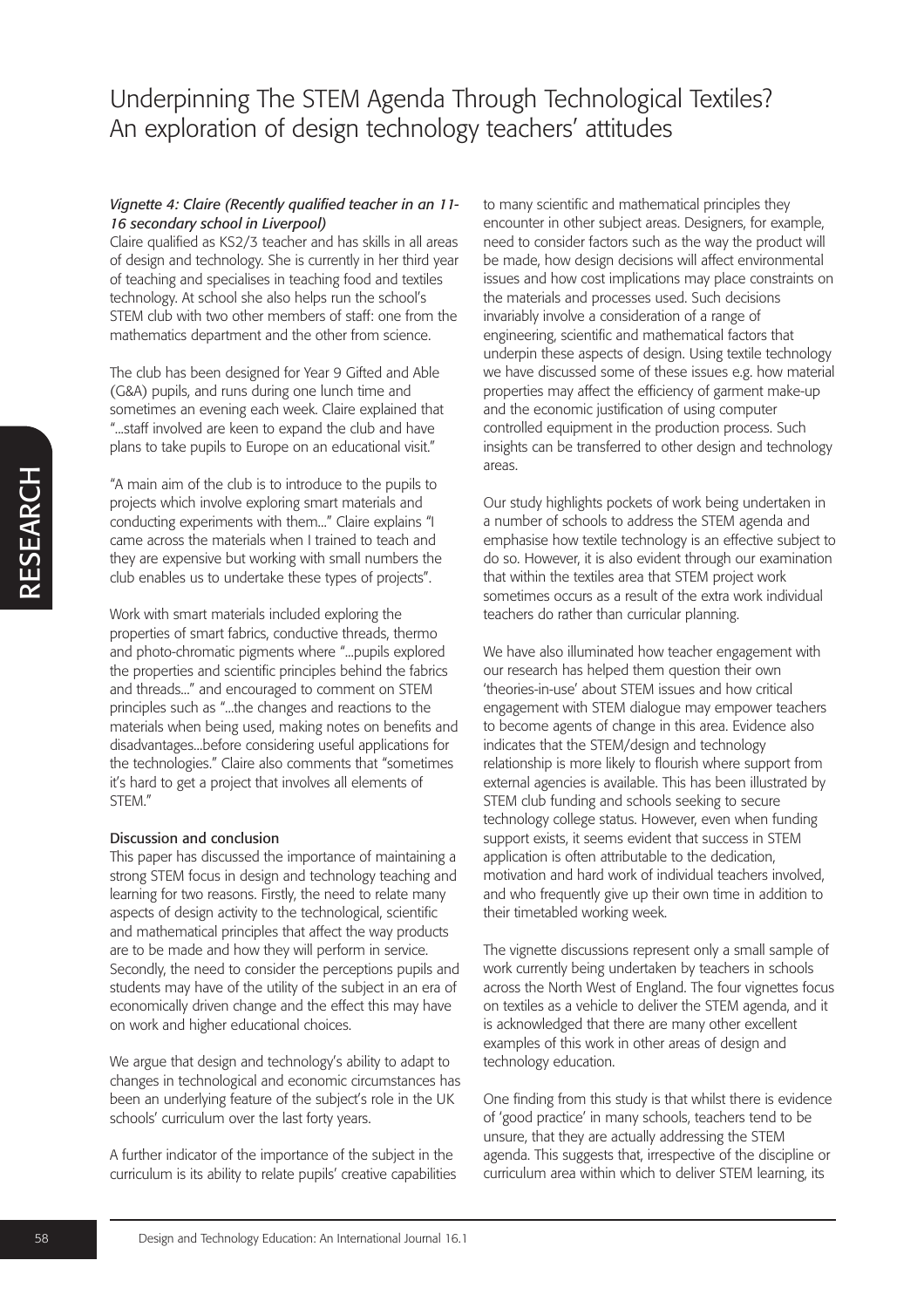#### *Vignette 4: Claire (Recently qualified teacher in an 11- 16 secondary school in Liverpool)*

Claire qualified as KS2/3 teacher and has skills in all areas of design and technology. She is currently in her third year of teaching and specialises in teaching food and textiles technology. At school she also helps run the school's STEM club with two other members of staff: one from the mathematics department and the other from science.

The club has been designed for Year 9 Gifted and Able (G&A) pupils, and runs during one lunch time and sometimes an evening each week. Claire explained that "...staff involved are keen to expand the club and have plans to take pupils to Europe on an educational visit."

"A main aim of the club is to introduce to the pupils to projects which involve exploring smart materials and conducting experiments with them..." Claire explains "I came across the materials when I trained to teach and they are expensive but working with small numbers the club enables us to undertake these types of projects".

Work with smart materials included exploring the properties of smart fabrics, conductive threads, thermo and photo-chromatic pigments where "...pupils explored the properties and scientific principles behind the fabrics and threads..." and encouraged to comment on STEM principles such as "...the changes and reactions to the materials when being used, making notes on benefits and disadvantages...before considering useful applications for the technologies." Claire also comments that "sometimes it's hard to get a project that involves all elements of STEM."

#### Discussion and conclusion

This paper has discussed the importance of maintaining a strong STEM focus in design and technology teaching and learning for two reasons. Firstly, the need to relate many aspects of design activity to the technological, scientific and mathematical principles that affect the way products are to be made and how they will perform in service. Secondly, the need to consider the perceptions pupils and students may have of the utility of the subject in an era of economically driven change and the effect this may have on work and higher educational choices.

We argue that design and technology's ability to adapt to changes in technological and economic circumstances has been an underlying feature of the subject's role in the UK schools' curriculum over the last forty years.

A further indicator of the importance of the subject in the curriculum is its ability to relate pupils' creative capabilities to many scientific and mathematical principles they encounter in other subject areas. Designers, for example, need to consider factors such as the way the product will be made, how design decisions will affect environmental issues and how cost implications may place constraints on the materials and processes used. Such decisions invariably involve a consideration of a range of engineering, scientific and mathematical factors that underpin these aspects of design. Using textile technology we have discussed some of these issues e.g. how material properties may affect the efficiency of garment make-up and the economic justification of using computer controlled equipment in the production process. Such insights can be transferred to other design and technology areas.

Our study highlights pockets of work being undertaken in a number of schools to address the STEM agenda and emphasise how textile technology is an effective subject to do so. However, it is also evident through our examination that within the textiles area that STEM project work sometimes occurs as a result of the extra work individual teachers do rather than curricular planning.

We have also illuminated how teacher engagement with our research has helped them question their own 'theories-in-use' about STEM issues and how critical engagement with STEM dialogue may empower teachers to become agents of change in this area. Evidence also indicates that the STEM/design and technology relationship is more likely to flourish where support from external agencies is available. This has been illustrated by STEM club funding and schools seeking to secure technology college status. However, even when funding support exists, it seems evident that success in STEM application is often attributable to the dedication, motivation and hard work of individual teachers involved, and who frequently give up their own time in addition to their timetabled working week.

The vignette discussions represent only a small sample of work currently being undertaken by teachers in schools across the North West of England. The four vignettes focus on textiles as a vehicle to deliver the STEM agenda, and it is acknowledged that there are many other excellent examples of this work in other areas of design and technology education.

One finding from this study is that whilst there is evidence of 'good practice' in many schools, teachers tend to be unsure, that they are actually addressing the STEM agenda. This suggests that, irrespective of the discipline or curriculum area within which to deliver STEM learning, its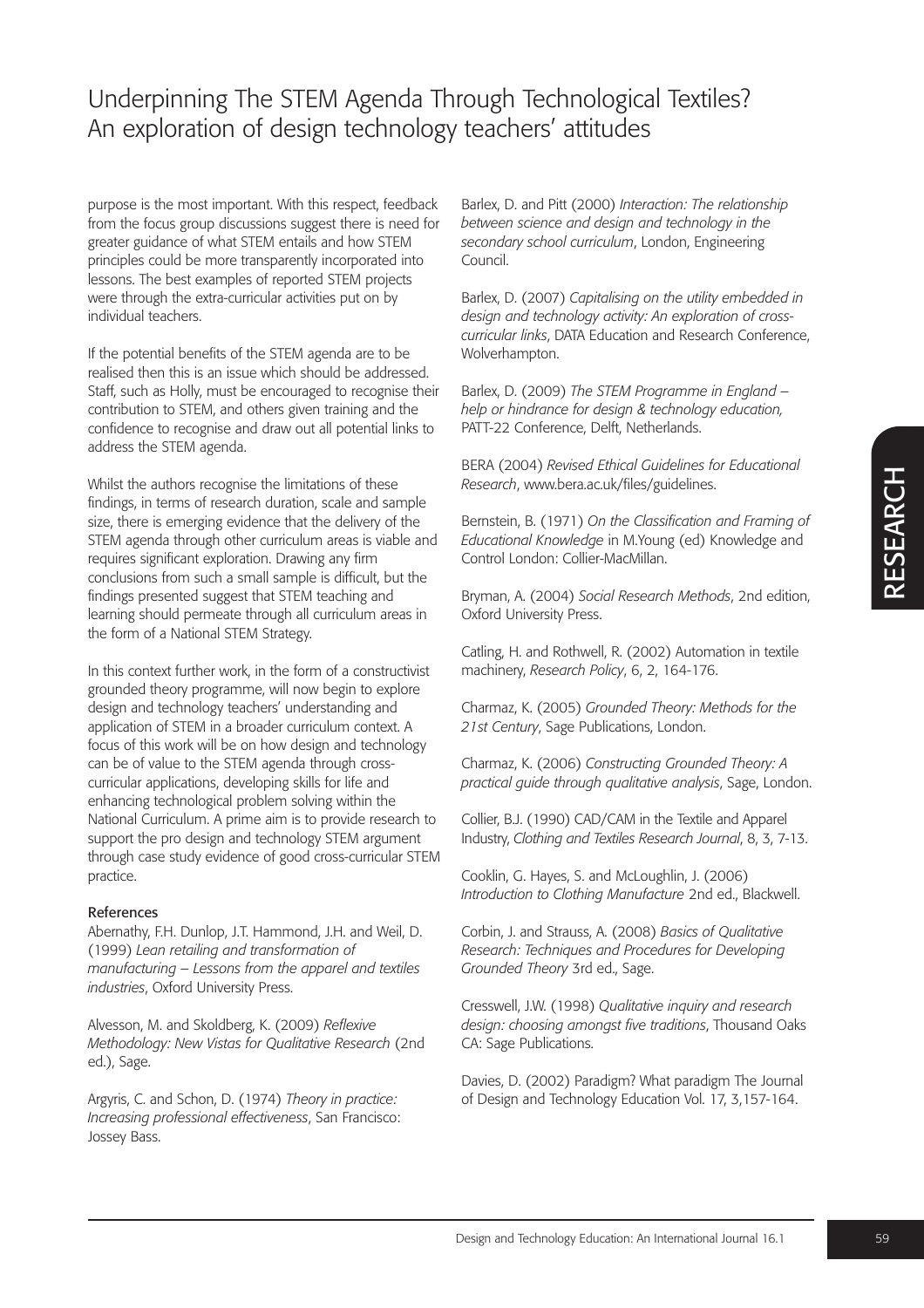purpose is the most important. With this respect, feedback from the focus group discussions suggest there is need for greater guidance of what STEM entails and how STEM principles could be more transparently incorporated into lessons. The best examples of reported STEM projects were through the extra-curricular activities put on by individual teachers.

If the potential benefits of the STEM agenda are to be realised then this is an issue which should be addressed. Staff, such as Holly, must be encouraged to recognise their contribution to STEM, and others given training and the confidence to recognise and draw out all potential links to address the STEM agenda.

Whilst the authors recognise the limitations of these findings, in terms of research duration, scale and sample size, there is emerging evidence that the delivery of the STEM agenda through other curriculum areas is viable and requires significant exploration. Drawing any firm conclusions from such a small sample is difficult, but the findings presented suggest that STEM teaching and learning should permeate through all curriculum areas in the form of a National STEM Strategy.

In this context further work, in the form of a constructivist grounded theory programme, will now begin to explore design and technology teachers' understanding and application of STEM in a broader curriculum context. A focus of this work will be on how design and technology can be of value to the STEM agenda through crosscurricular applications, developing skills for life and enhancing technological problem solving within the National Curriculum. A prime aim is to provide research to support the pro design and technology STEM argument through case study evidence of good cross-curricular STEM practice.

### References

Abernathy, F.H. Dunlop, J.T. Hammond, J.H. and Weil, D. (1999) *Lean retailing and transformation of manufacturing – Lessons from the apparel and textiles industries*, Oxford University Press.

Alvesson, M. and Skoldberg, K. (2009) *Reflexive Methodology: New Vistas for Qualitative Research* (2nd ed.), Sage.

Argyris, C. and Schon, D. (1974) *Theory in practice: Increasing professional effectiveness*, San Francisco: Jossey Bass.

Barlex, D. and Pitt (2000) *Interaction: The relationship between science and design and technology in the secondary school curriculum*, London, Engineering Council.

Barlex, D. (2007) *Capitalising on the utility embedded in design and technology activity: An exploration of crosscurricular links*, DATA Education and Research Conference, Wolverhampton.

Barlex, D. (2009) *The STEM Programme in England – help or hindrance for design & technology education,* PATT-22 Conference, Delft, Netherlands.

BERA (2004) *Revised Ethical Guidelines for Educational Research*, www.bera.ac.uk/files/guidelines.

Bernstein, B. (1971) *On the Classification and Framing of Educational Knowledge* in M.Young (ed) Knowledge and Control London: Collier-MacMillan.

Bryman, A. (2004) *Social Research Methods*, 2nd edition, Oxford University Press.

Catling, H. and Rothwell, R. (2002) Automation in textile machinery, *Research Policy*, 6, 2, 164-176.

Charmaz, K. (2005) *Grounded Theory: Methods for the 21st Century*, Sage Publications, London.

Charmaz, K. (2006) *Constructing Grounded Theory: A practical guide through qualitative analysis*, Sage, London.

Collier, B.J. (1990) CAD/CAM in the Textile and Apparel Industry, *Clothing and Textiles Research Journal*, 8, 3, 7-13.

Cooklin, G. Hayes, S. and McLoughlin, J. (2006) *Introduction to Clothing Manufacture* 2nd ed., Blackwell.

Corbin, J. and Strauss, A. (2008) *Basics of Qualitative Research: Techniques and Procedures for Developing Grounded Theory* 3rd ed., Sage.

Cresswell, J.W. (1998) *Qualitative inquiry and research design: choosing amongst five traditions*, Thousand Oaks CA: Sage Publications.

Davies, D. (2002) Paradigm? What paradigm The Journal of Design and Technology Education Vol. 17, 3,157-164.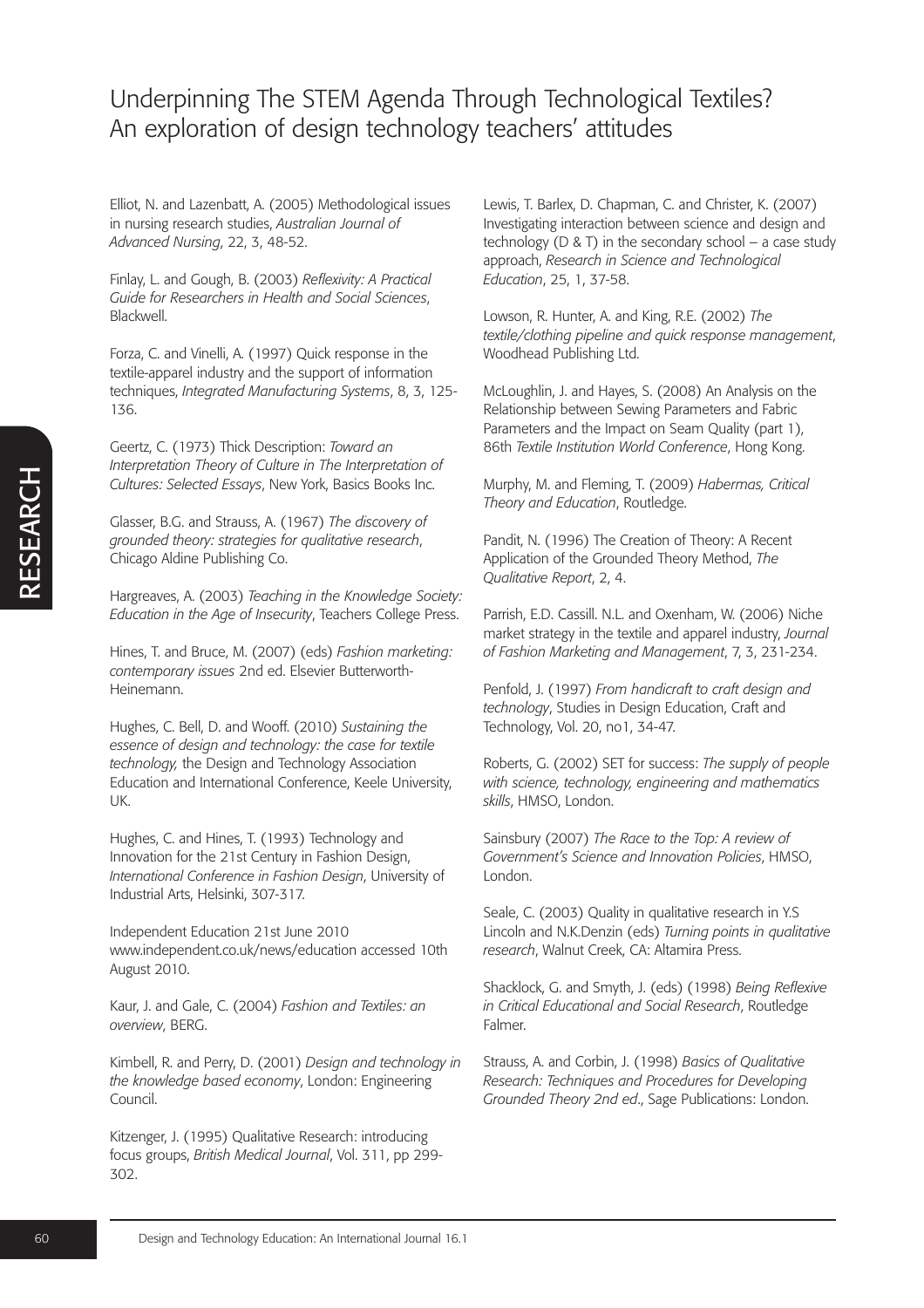Elliot, N. and Lazenbatt, A. (2005) Methodological issues in nursing research studies, *Australian Journal of Advanced Nursing*, 22, 3, 48-52.

Finlay, L. and Gough, B. (2003) *Reflexivity: A Practical Guide for Researchers in Health and Social Sciences*, Blackwell.

Forza, C. and Vinelli, A. (1997) Quick response in the textile-apparel industry and the support of information techniques, *Integrated Manufacturing Systems*, 8, 3, 125- 136.

Geertz, C. (1973) Thick Description: *Toward an Interpretation Theory of Culture in The Interpretation of Cultures: Selected Essays*, New York, Basics Books Inc.

Glasser, B.G. and Strauss, A. (1967) *The discovery of grounded theory: strategies for qualitative research*, Chicago Aldine Publishing Co.

Hargreaves, A. (2003) *Teaching in the Knowledge Society: Education in the Age of Insecurity*, Teachers College Press.

Hines, T. and Bruce, M. (2007) (eds) *Fashion marketing: contemporary issues* 2nd ed. Elsevier Butterworth-Heinemann.

Hughes, C. Bell, D. and Wooff. (2010) *Sustaining the essence of design and technology: the case for textile technology,* the Design and Technology Association Education and International Conference, Keele University, UK.

Hughes, C. and Hines, T. (1993) Technology and Innovation for the 21st Century in Fashion Design, *International Conference in Fashion Design*, University of Industrial Arts, Helsinki, 307-317.

Independent Education 21st June 2010 www.independent.co.uk/news/education accessed 10th August 2010.

Kaur, J. and Gale, C. (2004) *Fashion and Textiles: an overview*, BERG.

Kimbell, R. and Perry, D. (2001) *Design and technology in the knowledge based economy*, London: Engineering Council.

Kitzenger, J. (1995) Qualitative Research: introducing focus groups, *British Medical Journal*, Vol. 311, pp 299- 302.

Lewis, T. Barlex, D. Chapman, C. and Christer, K. (2007) Investigating interaction between science and design and technology ( $D \& T$ ) in the secondary school – a case study approach, *Research in Science and Technological Education*, 25, 1, 37-58.

Lowson, R. Hunter, A. and King, R.E. (2002) *The textile/clothing pipeline and quick response management*, Woodhead Publishing Ltd.

McLoughlin, J. and Hayes, S. (2008) An Analysis on the Relationship between Sewing Parameters and Fabric Parameters and the Impact on Seam Quality (part 1), 86th *Textile Institution World Conference*, Hong Kong.

Murphy, M. and Fleming, T. (2009) *Habermas, Critical Theory and Education*, Routledge.

Pandit, N. (1996) The Creation of Theory: A Recent Application of the Grounded Theory Method, *The Qualitative Report*, 2, 4.

Parrish, E.D. Cassill. N.L. and Oxenham, W. (2006) Niche market strategy in the textile and apparel industry, *Journal of Fashion Marketing and Management*, 7, 3, 231-234.

Penfold, J. (1997) *From handicraft to craft design and technology*, Studies in Design Education, Craft and Technology, Vol. 20, no1, 34-47.

Roberts, G. (2002) SET for success: *The supply of people with science, technology, engineering and mathematics skills*, HMSO, London.

Sainsbury (2007) *The Race to the Top: A review of Government's Science and Innovation Policies*, HMSO, London.

Seale, C. (2003) Quality in qualitative research in Y.S Lincoln and N.K.Denzin (eds) *Turning points in qualitative research*, Walnut Creek, CA: Altamira Press.

Shacklock, G. and Smyth, J. (eds) (1998) *Being Reflexive in Critical Educational and Social Research*, Routledge Falmer.

Strauss, A. and Corbin, J. (1998) *Basics of Qualitative Research: Techniques and Procedures for Developing Grounded Theory 2nd ed*., Sage Publications: London.